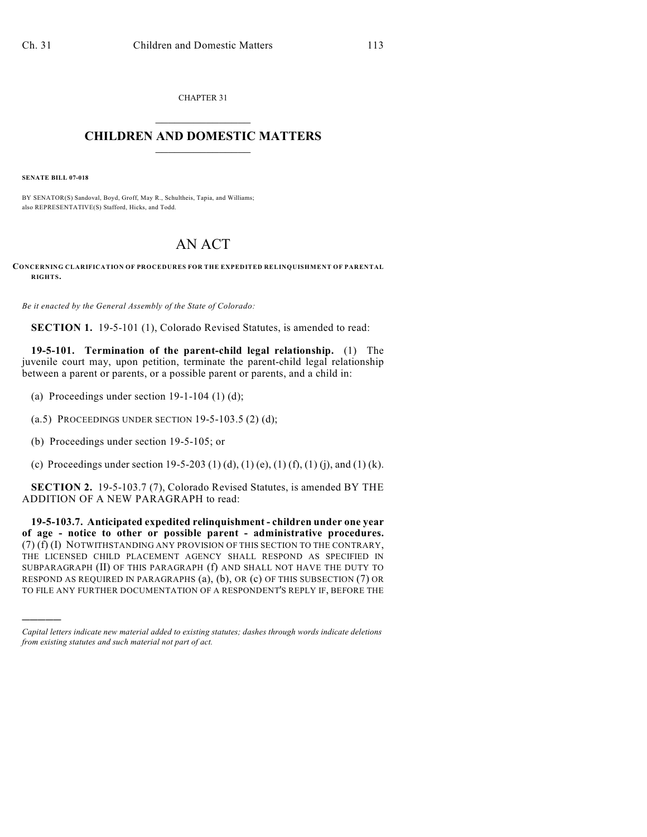CHAPTER 31  $\mathcal{L}_\text{max}$  . The set of the set of the set of the set of the set of the set of the set of the set of the set of the set of the set of the set of the set of the set of the set of the set of the set of the set of the set

## **CHILDREN AND DOMESTIC MATTERS**  $\_$

**SENATE BILL 07-018**

)))))

BY SENATOR(S) Sandoval, Boyd, Groff, May R., Schultheis, Tapia, and Williams; also REPRESENTATIVE(S) Stafford, Hicks, and Todd.

## AN ACT

**CONCERNING CLARIFICATION OF PROCEDURES FOR THE EXPEDITED RELINQUISHMENT OF PARENTAL RIGHTS.**

*Be it enacted by the General Assembly of the State of Colorado:*

**SECTION 1.** 19-5-101 (1), Colorado Revised Statutes, is amended to read:

**19-5-101. Termination of the parent-child legal relationship.** (1) The juvenile court may, upon petition, terminate the parent-child legal relationship between a parent or parents, or a possible parent or parents, and a child in:

- (a) Proceedings under section  $19-1-104$  (1) (d);
- (a.5) PROCEEDINGS UNDER SECTION  $19-5-103.5$  (2) (d);
- (b) Proceedings under section 19-5-105; or
- (c) Proceedings under section 19-5-203 (1) (d), (1) (e), (1) (f), (1) (j), and (1) (k).

**SECTION 2.** 19-5-103.7 (7), Colorado Revised Statutes, is amended BY THE ADDITION OF A NEW PARAGRAPH to read:

**19-5-103.7. Anticipated expedited relinquishment - children under one year of age - notice to other or possible parent - administrative procedures.** (7) (f) (I) NOTWITHSTANDING ANY PROVISION OF THIS SECTION TO THE CONTRARY, THE LICENSED CHILD PLACEMENT AGENCY SHALL RESPOND AS SPECIFIED IN SUBPARAGRAPH (II) OF THIS PARAGRAPH (f) AND SHALL NOT HAVE THE DUTY TO RESPOND AS REQUIRED IN PARAGRAPHS (a), (b), OR (c) OF THIS SUBSECTION (7) OR TO FILE ANY FURTHER DOCUMENTATION OF A RESPONDENT'S REPLY IF, BEFORE THE

*Capital letters indicate new material added to existing statutes; dashes through words indicate deletions from existing statutes and such material not part of act.*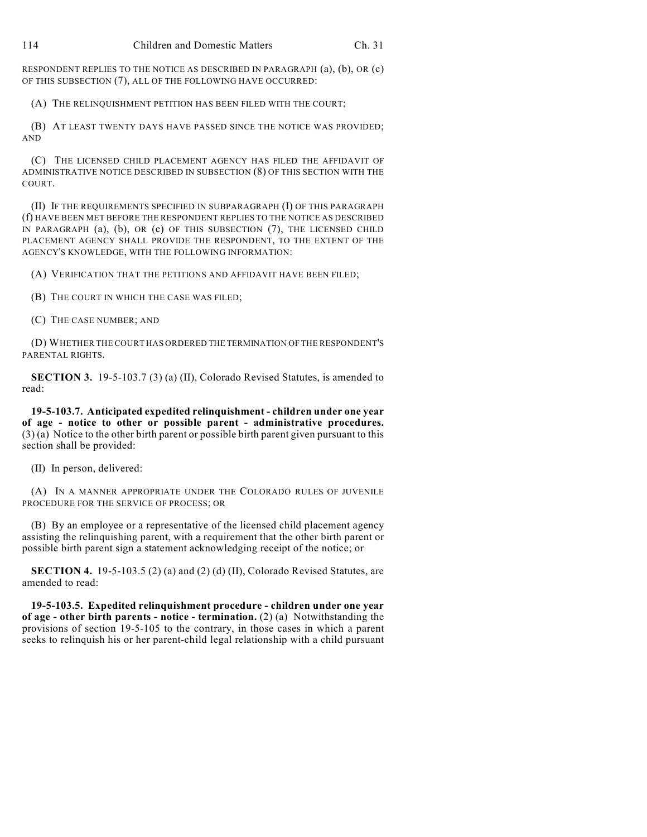RESPONDENT REPLIES TO THE NOTICE AS DESCRIBED IN PARAGRAPH (a), (b), OR (c) OF THIS SUBSECTION (7), ALL OF THE FOLLOWING HAVE OCCURRED:

(A) THE RELINQUISHMENT PETITION HAS BEEN FILED WITH THE COURT;

(B) AT LEAST TWENTY DAYS HAVE PASSED SINCE THE NOTICE WAS PROVIDED; AND

(C) THE LICENSED CHILD PLACEMENT AGENCY HAS FILED THE AFFIDAVIT OF ADMINISTRATIVE NOTICE DESCRIBED IN SUBSECTION (8) OF THIS SECTION WITH THE COURT.

(II) IF THE REQUIREMENTS SPECIFIED IN SUBPARAGRAPH (I) OF THIS PARAGRAPH (f) HAVE BEEN MET BEFORE THE RESPONDENT REPLIES TO THE NOTICE AS DESCRIBED IN PARAGRAPH (a), (b), OR (c) OF THIS SUBSECTION (7), THE LICENSED CHILD PLACEMENT AGENCY SHALL PROVIDE THE RESPONDENT, TO THE EXTENT OF THE AGENCY'S KNOWLEDGE, WITH THE FOLLOWING INFORMATION:

(A) VERIFICATION THAT THE PETITIONS AND AFFIDAVIT HAVE BEEN FILED;

(B) THE COURT IN WHICH THE CASE WAS FILED;

(C) THE CASE NUMBER; AND

(D) WHETHER THE COURT HAS ORDERED THE TERMINATION OF THE RESPONDENT'S PARENTAL RIGHTS.

**SECTION 3.** 19-5-103.7 (3) (a) (II), Colorado Revised Statutes, is amended to read:

**19-5-103.7. Anticipated expedited relinquishment - children under one year of age - notice to other or possible parent - administrative procedures.** (3) (a) Notice to the other birth parent or possible birth parent given pursuant to this section shall be provided:

(II) In person, delivered:

(A) IN A MANNER APPROPRIATE UNDER THE COLORADO RULES OF JUVENILE PROCEDURE FOR THE SERVICE OF PROCESS; OR

(B) By an employee or a representative of the licensed child placement agency assisting the relinquishing parent, with a requirement that the other birth parent or possible birth parent sign a statement acknowledging receipt of the notice; or

**SECTION 4.** 19-5-103.5 (2) (a) and (2) (d) (II), Colorado Revised Statutes, are amended to read:

**19-5-103.5. Expedited relinquishment procedure - children under one year of age - other birth parents - notice - termination.** (2) (a) Notwithstanding the provisions of section 19-5-105 to the contrary, in those cases in which a parent seeks to relinquish his or her parent-child legal relationship with a child pursuant